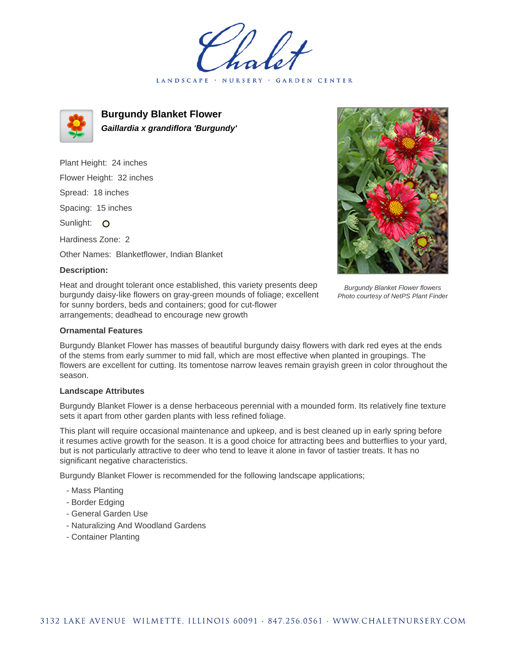LANDSCAPE · NURSERY · GARDEN CENTER



**Burgundy Blanket Flower Gaillardia x grandiflora 'Burgundy'**

Plant Height: 24 inches Flower Height: 32 inches Spread: 18 inches Spacing: 15 inches Sunlight: O Hardiness Zone: 2

Other Names: Blanketflower, Indian Blanket

## **Description:**

Heat and drought tolerant once established, this variety presents deep burgundy daisy-like flowers on gray-green mounds of foliage; excellent for sunny borders, beds and containers; good for cut-flower arrangements; deadhead to encourage new growth

## **Ornamental Features**

Burgundy Blanket Flower has masses of beautiful burgundy daisy flowers with dark red eyes at the ends of the stems from early summer to mid fall, which are most effective when planted in groupings. The flowers are excellent for cutting. Its tomentose narrow leaves remain grayish green in color throughout the season.

## **Landscape Attributes**

Burgundy Blanket Flower is a dense herbaceous perennial with a mounded form. Its relatively fine texture sets it apart from other garden plants with less refined foliage.

This plant will require occasional maintenance and upkeep, and is best cleaned up in early spring before it resumes active growth for the season. It is a good choice for attracting bees and butterflies to your yard, but is not particularly attractive to deer who tend to leave it alone in favor of tastier treats. It has no significant negative characteristics.

Burgundy Blanket Flower is recommended for the following landscape applications;

- Mass Planting
- Border Edging
- General Garden Use
- Naturalizing And Woodland Gardens
- Container Planting



Burgundy Blanket Flower flowers Photo courtesy of NetPS Plant Finder